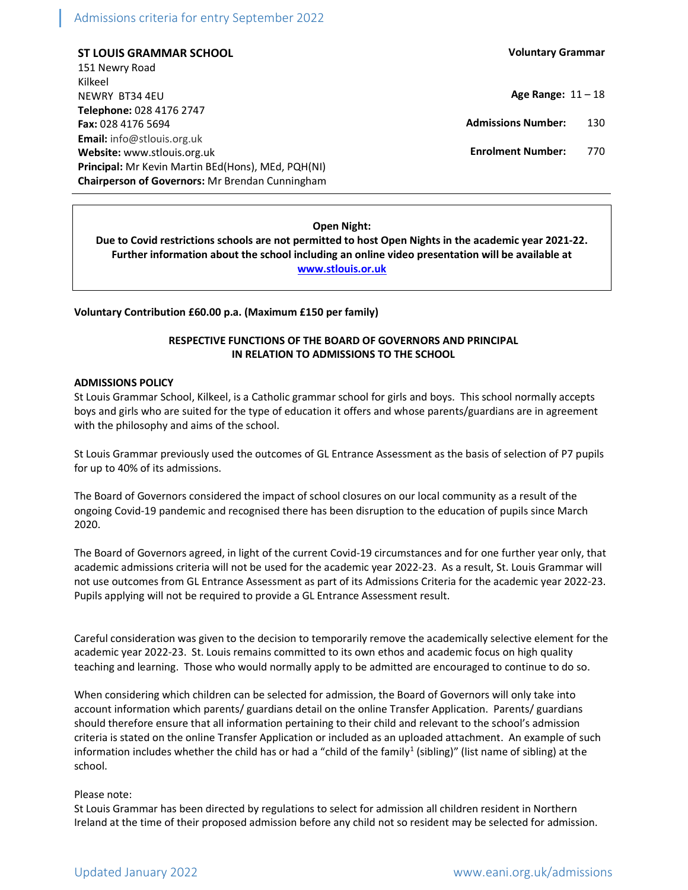# Admissions criteria for entry September 2022

ST LOUIS GRAMMAR SCHOOL 151 Newry Road Kilkeel NEWRY BT34 4EU Telephone: 028 4176 2747 Fax: 028 4176 5694 Email: info@stlouis.org.uk Website: www.stlouis.org.uk Principal: Mr Kevin Martin BEd(Hons), MEd, PQH(NI) Chairperson of Governors: Mr Brendan Cunningham Voluntary Grammar

Age Range:  $11 - 18$ 

Admissions Number: 130

Enrolment Number: 770

### Open Night:

Due to Covid restrictions schools are not permitted to host Open Nights in the academic year 2021-22. Further information about the school including an online video presentation will be available at www.stlouis.or.uk

Voluntary Contribution £60.00 p.a. (Maximum £150 per family)

# RESPECTIVE FUNCTIONS OF THE BOARD OF GOVERNORS AND PRINCIPAL IN RELATION TO ADMISSIONS TO THE SCHOOL

#### ADMISSIONS POLICY

St Louis Grammar School, Kilkeel, is a Catholic grammar school for girls and boys. This school normally accepts boys and girls who are suited for the type of education it offers and whose parents/guardians are in agreement with the philosophy and aims of the school.

St Louis Grammar previously used the outcomes of GL Entrance Assessment as the basis of selection of P7 pupils for up to 40% of its admissions.

The Board of Governors considered the impact of school closures on our local community as a result of the ongoing Covid-19 pandemic and recognised there has been disruption to the education of pupils since March 2020.

The Board of Governors agreed, in light of the current Covid-19 circumstances and for one further year only, that academic admissions criteria will not be used for the academic year 2022-23. As a result, St. Louis Grammar will not use outcomes from GL Entrance Assessment as part of its Admissions Criteria for the academic year 2022-23. Pupils applying will not be required to provide a GL Entrance Assessment result.

Careful consideration was given to the decision to temporarily remove the academically selective element for the academic year 2022-23. St. Louis remains committed to its own ethos and academic focus on high quality teaching and learning. Those who would normally apply to be admitted are encouraged to continue to do so.

When considering which children can be selected for admission, the Board of Governors will only take into account information which parents/ guardians detail on the online Transfer Application. Parents/ guardians should therefore ensure that all information pertaining to their child and relevant to the school's admission criteria is stated on the online Transfer Application or included as an uploaded attachment. An example of such information includes whether the child has or had a "child of the family<sup>1</sup> (sibling)" (list name of sibling) at the school.

#### Please note:

St Louis Grammar has been directed by regulations to select for admission all children resident in Northern Ireland at the time of their proposed admission before any child not so resident may be selected for admission.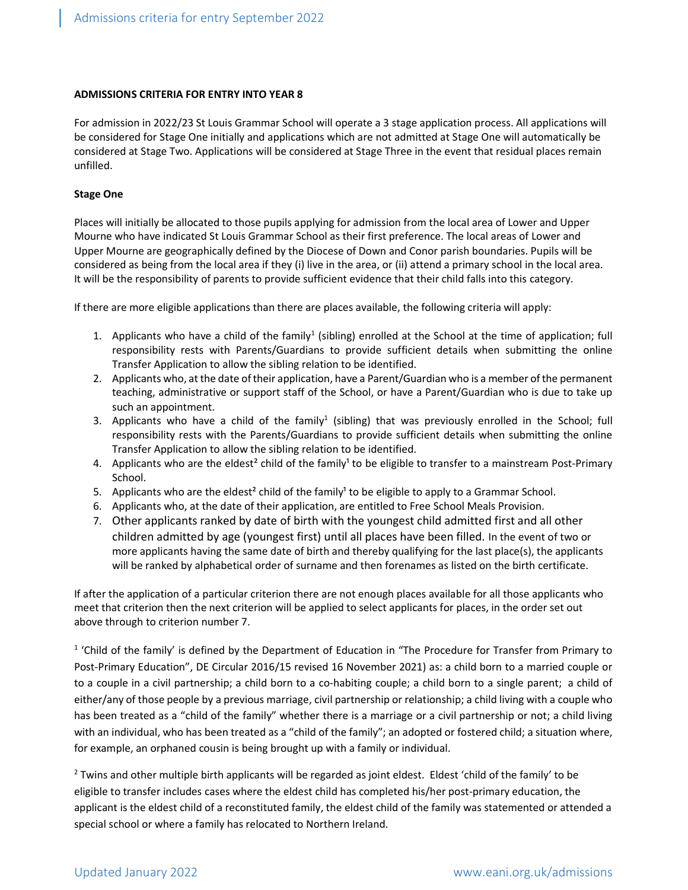#### ADMISSIONS CRITERIA FOR ENTRY INTO YEAR 8

For admission in 2022/23 St Louis Grammar School will operate a 3 stage application process. All applications will be considered for Stage One initially and applications which are not admitted at Stage One will automatically be considered at Stage Two. Applications will be considered at Stage Three in the event that residual places remain unfilled.

#### Stage One

Places will initially be allocated to those pupils applying for admission from the local area of Lower and Upper Mourne who have indicated St Louis Grammar School as their first preference. The local areas of Lower and Upper Mourne are geographically defined by the Diocese of Down and Conor parish boundaries. Pupils will be considered as being from the local area if they (i) live in the area, or (ii) attend a primary school in the local area. It will be the responsibility of parents to provide sufficient evidence that their child falls into this category.

If there are more eligible applications than there are places available, the following criteria will apply:

- 1. Applicants who have a child of the family<sup>1</sup> (sibling) enrolled at the School at the time of application; full responsibility rests with Parents/Guardians to provide sufficient details when submitting the online Transfer Application to allow the sibling relation to be identified.
- 2. Applicants who, at the date of their application, have a Parent/Guardian who is a member of the permanent teaching, administrative or support staff of the School, or have a Parent/Guardian who is due to take up such an appointment.
- 3. Applicants who have a child of the family<sup>1</sup> (sibling) that was previously enrolled in the School; full responsibility rests with the Parents/Guardians to provide sufficient details when submitting the online Transfer Application to allow the sibling relation to be identified.
- 4. Applicants who are the eldest<sup>2</sup> child of the family<sup>1</sup> to be eligible to transfer to a mainstream Post-Primary School.
- 5. Applicants who are the eldest<sup>2</sup> child of the family<sup>1</sup> to be eligible to apply to a Grammar School.
- 6. Applicants who, at the date of their application, are entitled to Free School Meals Provision.
- 7. Other applicants ranked by date of birth with the youngest child admitted first and all other children admitted by age (youngest first) until all places have been filled. In the event of two or more applicants having the same date of birth and thereby qualifying for the last place(s), the applicants will be ranked by alphabetical order of surname and then forenames as listed on the birth certificate.

If after the application of a particular criterion there are not enough places available for all those applicants who meet that criterion then the next criterion will be applied to select applicants for places, in the order set out above through to criterion number 7.

<sup>1</sup> 'Child of the family' is defined by the Department of Education in "The Procedure for Transfer from Primary to Post-Primary Education", DE Circular 2016/15 revised 16 November 2021) as: a child born to a married couple or to a couple in a civil partnership; a child born to a co-habiting couple; a child born to a single parent; a child of either/any of those people by a previous marriage, civil partnership or relationship; a child living with a couple who has been treated as a "child of the family" whether there is a marriage or a civil partnership or not; a child living with an individual, who has been treated as a "child of the family"; an adopted or fostered child; a situation where, for example, an orphaned cousin is being brought up with a family or individual.

<sup>2</sup> Twins and other multiple birth applicants will be regarded as joint eldest. Eldest 'child of the family' to be eligible to transfer includes cases where the eldest child has completed his/her post-primary education, the applicant is the eldest child of a reconstituted family, the eldest child of the family was statemented or attended a special school or where a family has relocated to Northern Ireland.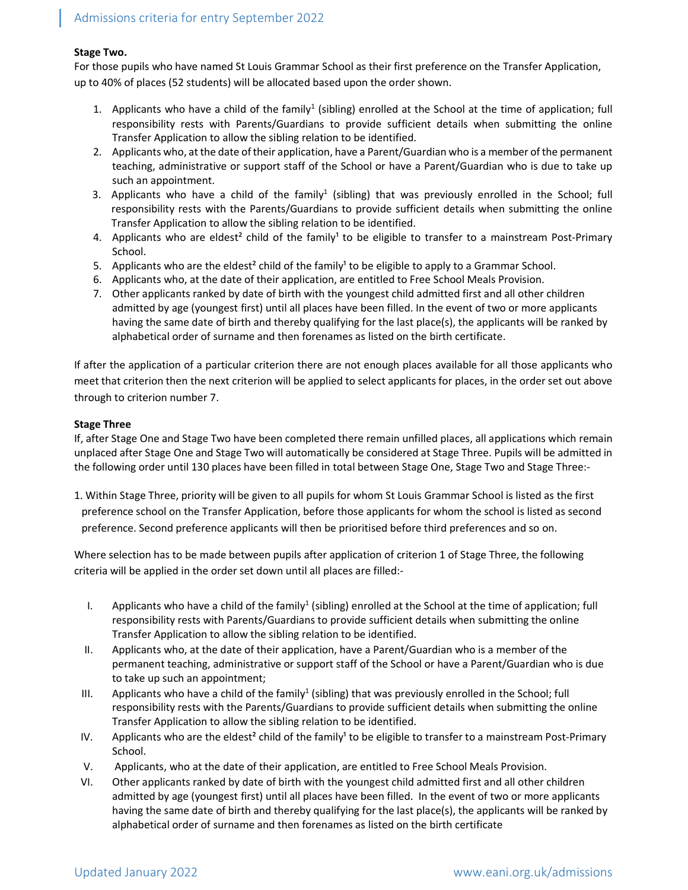# Stage Two.

For those pupils who have named St Louis Grammar School as their first preference on the Transfer Application, up to 40% of places (52 students) will be allocated based upon the order shown.

- 1. Applicants who have a child of the family<sup>1</sup> (sibling) enrolled at the School at the time of application; full responsibility rests with Parents/Guardians to provide sufficient details when submitting the online Transfer Application to allow the sibling relation to be identified.
- 2. Applicants who, at the date of their application, have a Parent/Guardian who is a member of the permanent teaching, administrative or support staff of the School or have a Parent/Guardian who is due to take up such an appointment.
- 3. Applicants who have a child of the family<sup>1</sup> (sibling) that was previously enrolled in the School; full responsibility rests with the Parents/Guardians to provide sufficient details when submitting the online Transfer Application to allow the sibling relation to be identified.
- 4. Applicants who are eldest<sup>2</sup> child of the family<sup>1</sup> to be eligible to transfer to a mainstream Post-Primary School.
- 5. Applicants who are the eldest<sup>2</sup> child of the family<sup>1</sup> to be eligible to apply to a Grammar School.
- 6. Applicants who, at the date of their application, are entitled to Free School Meals Provision.
- 7. Other applicants ranked by date of birth with the youngest child admitted first and all other children admitted by age (youngest first) until all places have been filled. In the event of two or more applicants having the same date of birth and thereby qualifying for the last place(s), the applicants will be ranked by alphabetical order of surname and then forenames as listed on the birth certificate.

If after the application of a particular criterion there are not enough places available for all those applicants who meet that criterion then the next criterion will be applied to select applicants for places, in the order set out above through to criterion number 7.

# Stage Three

If, after Stage One and Stage Two have been completed there remain unfilled places, all applications which remain unplaced after Stage One and Stage Two will automatically be considered at Stage Three. Pupils will be admitted in the following order until 130 places have been filled in total between Stage One, Stage Two and Stage Three:-

1. Within Stage Three, priority will be given to all pupils for whom St Louis Grammar School is listed as the first preference school on the Transfer Application, before those applicants for whom the school is listed as second preference. Second preference applicants will then be prioritised before third preferences and so on.

Where selection has to be made between pupils after application of criterion 1 of Stage Three, the following criteria will be applied in the order set down until all places are filled:-

- I. Applicants who have a child of the family<sup>1</sup> (sibling) enrolled at the School at the time of application; full responsibility rests with Parents/Guardians to provide sufficient details when submitting the online Transfer Application to allow the sibling relation to be identified.
- II. Applicants who, at the date of their application, have a Parent/Guardian who is a member of the permanent teaching, administrative or support staff of the School or have a Parent/Guardian who is due to take up such an appointment;
- III. Applicants who have a child of the family<sup>1</sup> (sibling) that was previously enrolled in the School; full responsibility rests with the Parents/Guardians to provide sufficient details when submitting the online Transfer Application to allow the sibling relation to be identified.
- IV. Applicants who are the eldest<sup>2</sup> child of the family<sup>1</sup> to be eligible to transfer to a mainstream Post-Primary School.
- V. Applicants, who at the date of their application, are entitled to Free School Meals Provision.
- VI. Other applicants ranked by date of birth with the youngest child admitted first and all other children admitted by age (youngest first) until all places have been filled. In the event of two or more applicants having the same date of birth and thereby qualifying for the last place(s), the applicants will be ranked by alphabetical order of surname and then forenames as listed on the birth certificate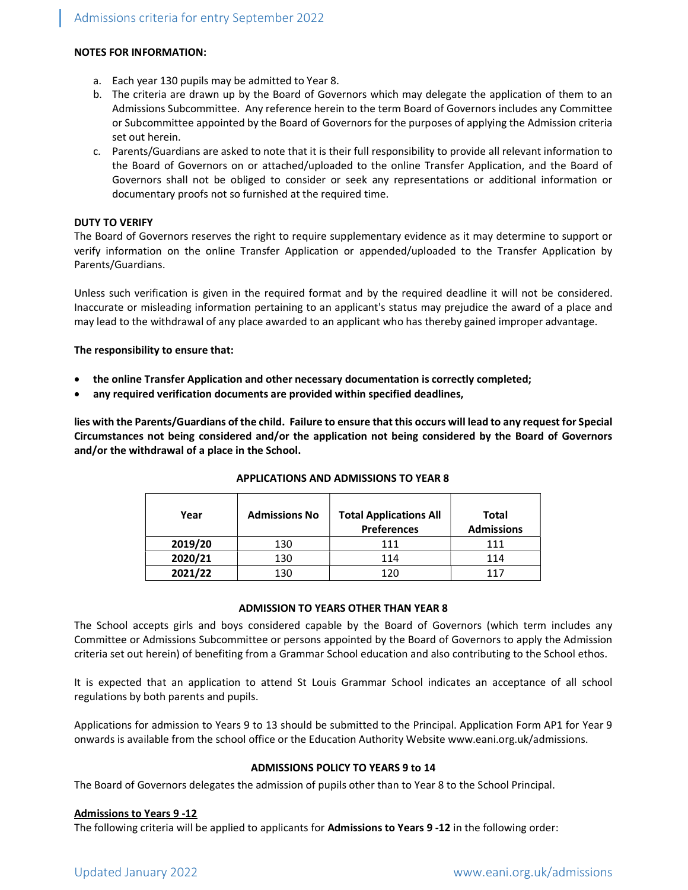### NOTES FOR INFORMATION:

- a. Each year 130 pupils may be admitted to Year 8.
- b. The criteria are drawn up by the Board of Governors which may delegate the application of them to an Admissions Subcommittee. Any reference herein to the term Board of Governors includes any Committee or Subcommittee appointed by the Board of Governors for the purposes of applying the Admission criteria set out herein.
- c. Parents/Guardians are asked to note that it is their full responsibility to provide all relevant information to the Board of Governors on or attached/uploaded to the online Transfer Application, and the Board of Governors shall not be obliged to consider or seek any representations or additional information or documentary proofs not so furnished at the required time.

#### DUTY TO VERIFY

The Board of Governors reserves the right to require supplementary evidence as it may determine to support or verify information on the online Transfer Application or appended/uploaded to the Transfer Application by Parents/Guardians.

Unless such verification is given in the required format and by the required deadline it will not be considered. Inaccurate or misleading information pertaining to an applicant's status may prejudice the award of a place and may lead to the withdrawal of any place awarded to an applicant who has thereby gained improper advantage.

#### The responsibility to ensure that:

- the online Transfer Application and other necessary documentation is correctly completed;
- any required verification documents are provided within specified deadlines,

lies with the Parents/Guardians of the child. Failure to ensure that this occurs will lead to any request for Special Circumstances not being considered and/or the application not being considered by the Board of Governors and/or the withdrawal of a place in the School.

| Year    | <b>Admissions No</b> | <b>Total Applications All</b><br><b>Preferences</b> | Total<br><b>Admissions</b> |
|---------|----------------------|-----------------------------------------------------|----------------------------|
| 2019/20 | 130                  | 111                                                 | 111                        |
| 2020/21 | 130                  | 114                                                 | 114                        |
| 2021/22 | 130                  | 120                                                 | 117                        |

### APPLICATIONS AND ADMISSIONS TO YEAR 8

#### ADMISSION TO YEARS OTHER THAN YEAR 8

The School accepts girls and boys considered capable by the Board of Governors (which term includes any Committee or Admissions Subcommittee or persons appointed by the Board of Governors to apply the Admission criteria set out herein) of benefiting from a Grammar School education and also contributing to the School ethos.

It is expected that an application to attend St Louis Grammar School indicates an acceptance of all school regulations by both parents and pupils.

Applications for admission to Years 9 to 13 should be submitted to the Principal. Application Form AP1 for Year 9 onwards is available from the school office or the Education Authority Website www.eani.org.uk/admissions.

#### ADMISSIONS POLICY TO YEARS 9 to 14

The Board of Governors delegates the admission of pupils other than to Year 8 to the School Principal.

#### Admissions to Years 9 -12

The following criteria will be applied to applicants for Admissions to Years 9-12 in the following order: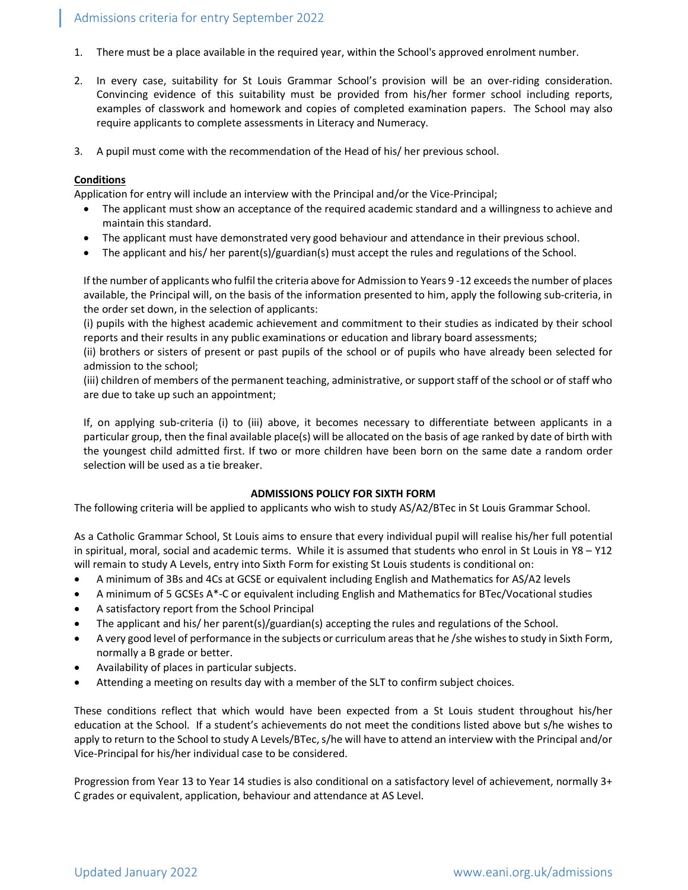- 1. There must be a place available in the required year, within the School's approved enrolment number.
- 2. In every case, suitability for St Louis Grammar School's provision will be an over-riding consideration. Convincing evidence of this suitability must be provided from his/her former school including reports, examples of classwork and homework and copies of completed examination papers. The School may also require applicants to complete assessments in Literacy and Numeracy.
- 3. A pupil must come with the recommendation of the Head of his/ her previous school.

# **Conditions**

Application for entry will include an interview with the Principal and/or the Vice-Principal;

- The applicant must show an acceptance of the required academic standard and a willingness to achieve and maintain this standard.
- The applicant must have demonstrated very good behaviour and attendance in their previous school.
- The applicant and his/ her parent(s)/guardian(s) must accept the rules and regulations of the School.

If the number of applicants who fulfil the criteria above for Admission to Years 9 -12 exceeds the number of places available, the Principal will, on the basis of the information presented to him, apply the following sub-criteria, in the order set down, in the selection of applicants:

(i) pupils with the highest academic achievement and commitment to their studies as indicated by their school reports and their results in any public examinations or education and library board assessments;

(ii) brothers or sisters of present or past pupils of the school or of pupils who have already been selected for admission to the school;

(iii) children of members of the permanent teaching, administrative, or support staff of the school or of staff who are due to take up such an appointment;

If, on applying sub-criteria (i) to (iii) above, it becomes necessary to differentiate between applicants in a particular group, then the final available place(s) will be allocated on the basis of age ranked by date of birth with the youngest child admitted first. If two or more children have been born on the same date a random order selection will be used as a tie breaker.

### ADMISSIONS POLICY FOR SIXTH FORM

The following criteria will be applied to applicants who wish to study AS/A2/BTec in St Louis Grammar School.

As a Catholic Grammar School, St Louis aims to ensure that every individual pupil will realise his/her full potential in spiritual, moral, social and academic terms. While it is assumed that students who enrol in St Louis in Y8 – Y12 will remain to study A Levels, entry into Sixth Form for existing St Louis students is conditional on:

- A minimum of 3Bs and 4Cs at GCSE or equivalent including English and Mathematics for AS/A2 levels
- A minimum of 5 GCSEs A\*-C or equivalent including English and Mathematics for BTec/Vocational studies
- A satisfactory report from the School Principal
- The applicant and his/ her parent(s)/guardian(s) accepting the rules and regulations of the School.
- A very good level of performance in the subjects or curriculum areas that he /she wishes to study in Sixth Form, normally a B grade or better.
- Availability of places in particular subjects.
- Attending a meeting on results day with a member of the SLT to confirm subject choices.

These conditions reflect that which would have been expected from a St Louis student throughout his/her education at the School. If a student's achievements do not meet the conditions listed above but s/he wishes to apply to return to the School to study A Levels/BTec, s/he will have to attend an interview with the Principal and/or Vice-Principal for his/her individual case to be considered.

Progression from Year 13 to Year 14 studies is also conditional on a satisfactory level of achievement, normally 3+ C grades or equivalent, application, behaviour and attendance at AS Level.